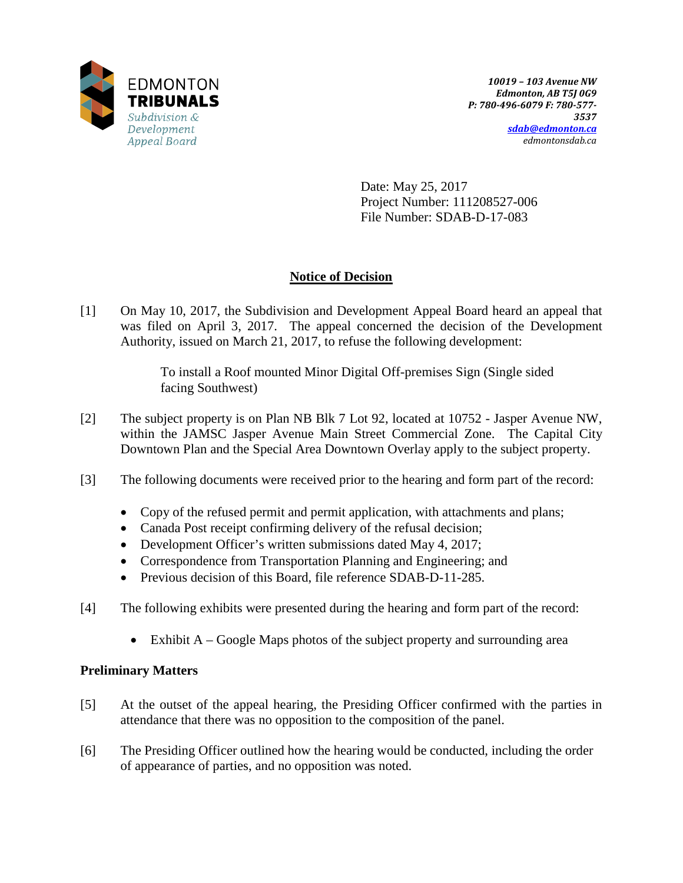

Date: May 25, 2017 Project Number: 111208527-006 File Number: SDAB-D-17-083

# **Notice of Decision**

[1] On May 10, 2017, the Subdivision and Development Appeal Board heard an appeal that was filed on April 3, 2017. The appeal concerned the decision of the Development Authority, issued on March 21, 2017, to refuse the following development:

> To install a Roof mounted Minor Digital Off-premises Sign (Single sided facing Southwest)

- [2] The subject property is on Plan NB Blk 7 Lot 92, located at 10752 Jasper Avenue NW, within the JAMSC Jasper Avenue Main Street Commercial Zone. The Capital City Downtown Plan and the Special Area Downtown Overlay apply to the subject property.
- [3] The following documents were received prior to the hearing and form part of the record:
	- Copy of the refused permit and permit application, with attachments and plans;
	- Canada Post receipt confirming delivery of the refusal decision;
	- Development Officer's written submissions dated May 4, 2017;
	- Correspondence from Transportation Planning and Engineering; and
	- Previous decision of this Board, file reference SDAB-D-11-285.
- [4] The following exhibits were presented during the hearing and form part of the record:
	- Exhibit  $A Google Maps$  photos of the subject property and surrounding area

# **Preliminary Matters**

- [5] At the outset of the appeal hearing, the Presiding Officer confirmed with the parties in attendance that there was no opposition to the composition of the panel.
- [6] The Presiding Officer outlined how the hearing would be conducted, including the order of appearance of parties, and no opposition was noted.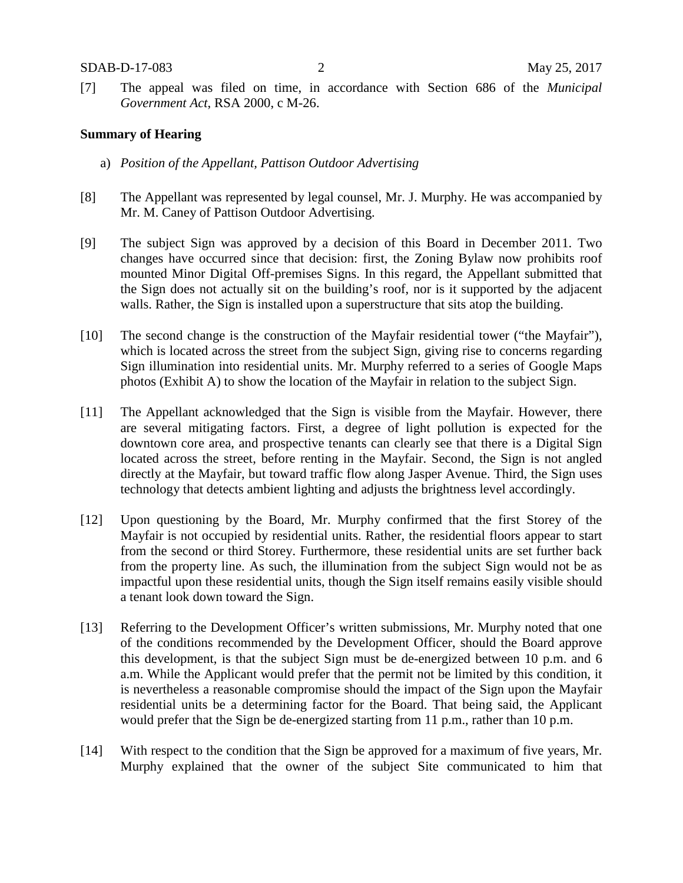[7] The appeal was filed on time, in accordance with Section 686 of the *Municipal Government Act*, RSA 2000, c M-26.

# **Summary of Hearing**

- a) *Position of the Appellant, Pattison Outdoor Advertising*
- [8] The Appellant was represented by legal counsel, Mr. J. Murphy. He was accompanied by Mr. M. Caney of Pattison Outdoor Advertising.
- [9] The subject Sign was approved by a decision of this Board in December 2011. Two changes have occurred since that decision: first, the Zoning Bylaw now prohibits roof mounted Minor Digital Off-premises Signs. In this regard, the Appellant submitted that the Sign does not actually sit on the building's roof, nor is it supported by the adjacent walls. Rather, the Sign is installed upon a superstructure that sits atop the building.
- [10] The second change is the construction of the Mayfair residential tower ("the Mayfair"), which is located across the street from the subject Sign, giving rise to concerns regarding Sign illumination into residential units. Mr. Murphy referred to a series of Google Maps photos (Exhibit A) to show the location of the Mayfair in relation to the subject Sign.
- [11] The Appellant acknowledged that the Sign is visible from the Mayfair. However, there are several mitigating factors. First, a degree of light pollution is expected for the downtown core area, and prospective tenants can clearly see that there is a Digital Sign located across the street, before renting in the Mayfair. Second, the Sign is not angled directly at the Mayfair, but toward traffic flow along Jasper Avenue. Third, the Sign uses technology that detects ambient lighting and adjusts the brightness level accordingly.
- [12] Upon questioning by the Board, Mr. Murphy confirmed that the first Storey of the Mayfair is not occupied by residential units. Rather, the residential floors appear to start from the second or third Storey. Furthermore, these residential units are set further back from the property line. As such, the illumination from the subject Sign would not be as impactful upon these residential units, though the Sign itself remains easily visible should a tenant look down toward the Sign.
- [13] Referring to the Development Officer's written submissions, Mr. Murphy noted that one of the conditions recommended by the Development Officer, should the Board approve this development, is that the subject Sign must be de-energized between 10 p.m. and 6 a.m. While the Applicant would prefer that the permit not be limited by this condition, it is nevertheless a reasonable compromise should the impact of the Sign upon the Mayfair residential units be a determining factor for the Board. That being said, the Applicant would prefer that the Sign be de-energized starting from 11 p.m., rather than 10 p.m.
- [14] With respect to the condition that the Sign be approved for a maximum of five years, Mr. Murphy explained that the owner of the subject Site communicated to him that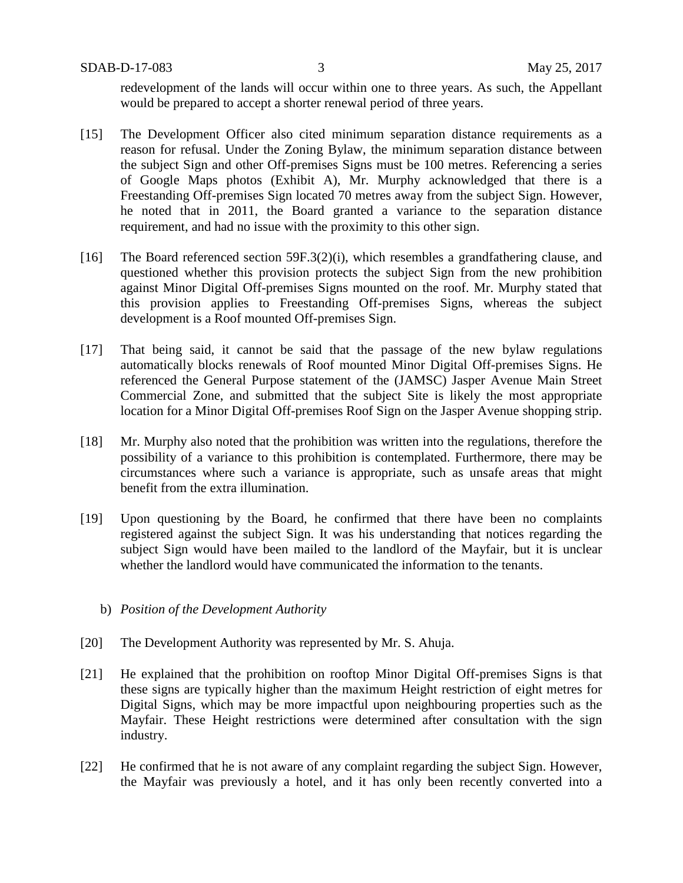SDAB-D-17-083 3 May 25, 2017

redevelopment of the lands will occur within one to three years. As such, the Appellant would be prepared to accept a shorter renewal period of three years.

- [15] The Development Officer also cited minimum separation distance requirements as a reason for refusal. Under the Zoning Bylaw, the minimum separation distance between the subject Sign and other Off-premises Signs must be 100 metres. Referencing a series of Google Maps photos (Exhibit A), Mr. Murphy acknowledged that there is a Freestanding Off-premises Sign located 70 metres away from the subject Sign. However, he noted that in 2011, the Board granted a variance to the separation distance requirement, and had no issue with the proximity to this other sign.
- [16] The Board referenced section 59F.3(2)(i), which resembles a grandfathering clause, and questioned whether this provision protects the subject Sign from the new prohibition against Minor Digital Off-premises Signs mounted on the roof. Mr. Murphy stated that this provision applies to Freestanding Off-premises Signs, whereas the subject development is a Roof mounted Off-premises Sign.
- [17] That being said, it cannot be said that the passage of the new bylaw regulations automatically blocks renewals of Roof mounted Minor Digital Off-premises Signs. He referenced the General Purpose statement of the (JAMSC) Jasper Avenue Main Street Commercial Zone, and submitted that the subject Site is likely the most appropriate location for a Minor Digital Off-premises Roof Sign on the Jasper Avenue shopping strip.
- [18] Mr. Murphy also noted that the prohibition was written into the regulations, therefore the possibility of a variance to this prohibition is contemplated. Furthermore, there may be circumstances where such a variance is appropriate, such as unsafe areas that might benefit from the extra illumination.
- [19] Upon questioning by the Board, he confirmed that there have been no complaints registered against the subject Sign. It was his understanding that notices regarding the subject Sign would have been mailed to the landlord of the Mayfair, but it is unclear whether the landlord would have communicated the information to the tenants.
	- b) *Position of the Development Authority*
- [20] The Development Authority was represented by Mr. S. Ahuja.
- [21] He explained that the prohibition on rooftop Minor Digital Off-premises Signs is that these signs are typically higher than the maximum Height restriction of eight metres for Digital Signs, which may be more impactful upon neighbouring properties such as the Mayfair. These Height restrictions were determined after consultation with the sign industry.
- [22] He confirmed that he is not aware of any complaint regarding the subject Sign. However, the Mayfair was previously a hotel, and it has only been recently converted into a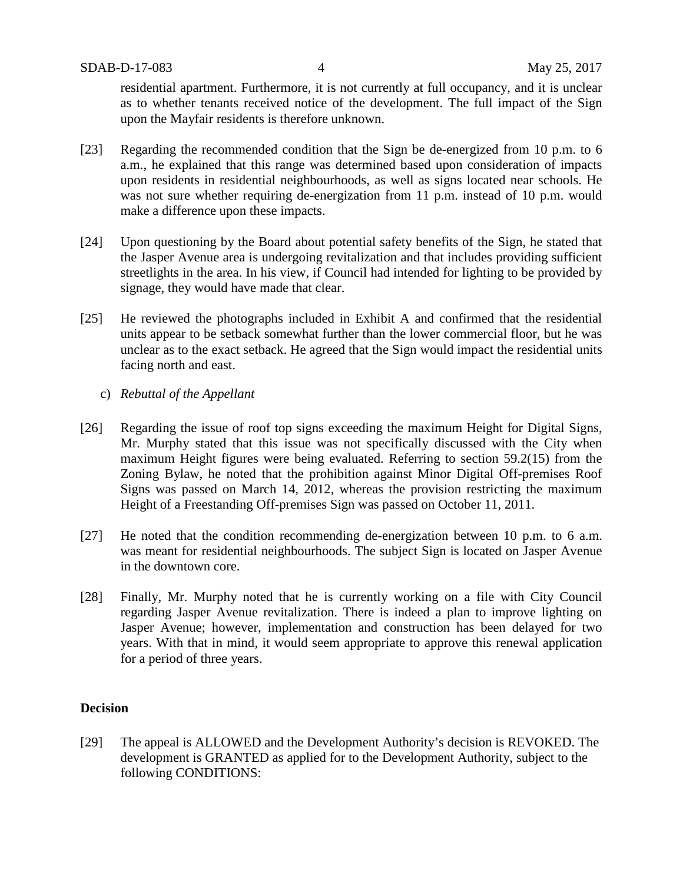residential apartment. Furthermore, it is not currently at full occupancy, and it is unclear as to whether tenants received notice of the development. The full impact of the Sign upon the Mayfair residents is therefore unknown.

- [23] Regarding the recommended condition that the Sign be de-energized from 10 p.m. to 6 a.m., he explained that this range was determined based upon consideration of impacts upon residents in residential neighbourhoods, as well as signs located near schools. He was not sure whether requiring de-energization from 11 p.m. instead of 10 p.m. would make a difference upon these impacts.
- [24] Upon questioning by the Board about potential safety benefits of the Sign, he stated that the Jasper Avenue area is undergoing revitalization and that includes providing sufficient streetlights in the area. In his view, if Council had intended for lighting to be provided by signage, they would have made that clear.
- [25] He reviewed the photographs included in Exhibit A and confirmed that the residential units appear to be setback somewhat further than the lower commercial floor, but he was unclear as to the exact setback. He agreed that the Sign would impact the residential units facing north and east.
	- c) *Rebuttal of the Appellant*
- [26] Regarding the issue of roof top signs exceeding the maximum Height for Digital Signs, Mr. Murphy stated that this issue was not specifically discussed with the City when maximum Height figures were being evaluated. Referring to section 59.2(15) from the Zoning Bylaw, he noted that the prohibition against Minor Digital Off-premises Roof Signs was passed on March 14, 2012, whereas the provision restricting the maximum Height of a Freestanding Off-premises Sign was passed on October 11, 2011.
- [27] He noted that the condition recommending de-energization between 10 p.m. to 6 a.m. was meant for residential neighbourhoods. The subject Sign is located on Jasper Avenue in the downtown core.
- [28] Finally, Mr. Murphy noted that he is currently working on a file with City Council regarding Jasper Avenue revitalization. There is indeed a plan to improve lighting on Jasper Avenue; however, implementation and construction has been delayed for two years. With that in mind, it would seem appropriate to approve this renewal application for a period of three years.

# **Decision**

[29] The appeal is ALLOWED and the Development Authority's decision is REVOKED. The development is GRANTED as applied for to the Development Authority, subject to the following CONDITIONS: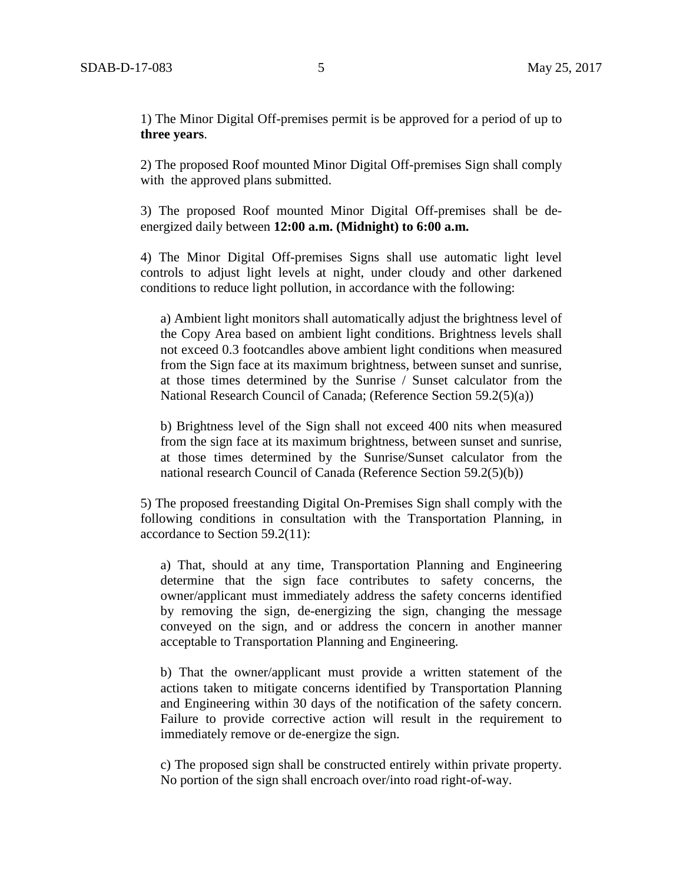1) The Minor Digital Off-premises permit is be approved for a period of up to **three years**.

2) The proposed Roof mounted Minor Digital Off-premises Sign shall comply with the approved plans submitted.

3) The proposed Roof mounted Minor Digital Off-premises shall be deenergized daily between **12:00 a.m. (Midnight) to 6:00 a.m.**

4) The Minor Digital Off-premises Signs shall use automatic light level controls to adjust light levels at night, under cloudy and other darkened conditions to reduce light pollution, in accordance with the following:

a) Ambient light monitors shall automatically adjust the brightness level of the Copy Area based on ambient light conditions. Brightness levels shall not exceed 0.3 footcandles above ambient light conditions when measured from the Sign face at its maximum brightness, between sunset and sunrise, at those times determined by the Sunrise / Sunset calculator from the National Research Council of Canada; (Reference Section 59.2(5)(a))

b) Brightness level of the Sign shall not exceed 400 nits when measured from the sign face at its maximum brightness, between sunset and sunrise, at those times determined by the Sunrise/Sunset calculator from the national research Council of Canada (Reference Section 59.2(5)(b))

5) The proposed freestanding Digital On-Premises Sign shall comply with the following conditions in consultation with the Transportation Planning, in accordance to Section 59.2(11):

a) That, should at any time, Transportation Planning and Engineering determine that the sign face contributes to safety concerns, the owner/applicant must immediately address the safety concerns identified by removing the sign, de-energizing the sign, changing the message conveyed on the sign, and or address the concern in another manner acceptable to Transportation Planning and Engineering.

b) That the owner/applicant must provide a written statement of the actions taken to mitigate concerns identified by Transportation Planning and Engineering within 30 days of the notification of the safety concern. Failure to provide corrective action will result in the requirement to immediately remove or de-energize the sign.

c) The proposed sign shall be constructed entirely within private property. No portion of the sign shall encroach over/into road right-of-way.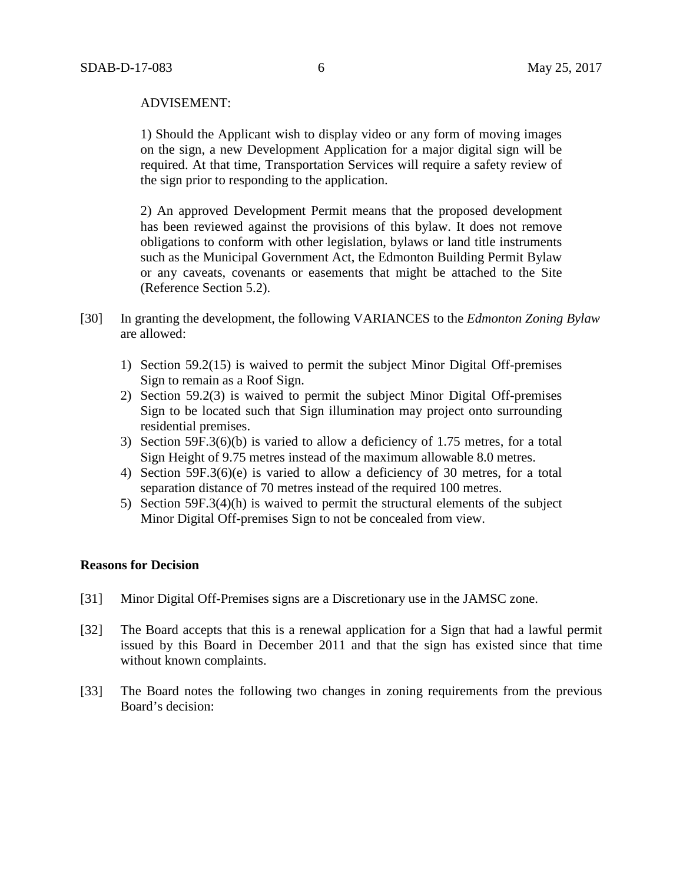### ADVISEMENT:

1) Should the Applicant wish to display video or any form of moving images on the sign, a new Development Application for a major digital sign will be required. At that time, Transportation Services will require a safety review of the sign prior to responding to the application.

2) An approved Development Permit means that the proposed development has been reviewed against the provisions of this bylaw. It does not remove obligations to conform with other legislation, bylaws or land title instruments such as the Municipal Government Act, the Edmonton Building Permit Bylaw or any caveats, covenants or easements that might be attached to the Site (Reference Section 5.2).

- [30] In granting the development, the following VARIANCES to the *Edmonton Zoning Bylaw* are allowed:
	- 1) Section 59.2(15) is waived to permit the subject Minor Digital Off-premises Sign to remain as a Roof Sign.
	- 2) Section 59.2(3) is waived to permit the subject Minor Digital Off-premises Sign to be located such that Sign illumination may project onto surrounding residential premises.
	- 3) Section 59F.3(6)(b) is varied to allow a deficiency of 1.75 metres, for a total Sign Height of 9.75 metres instead of the maximum allowable 8.0 metres.
	- 4) Section 59F.3(6)(e) is varied to allow a deficiency of 30 metres, for a total separation distance of 70 metres instead of the required 100 metres.
	- 5) Section 59F.3(4)(h) is waived to permit the structural elements of the subject Minor Digital Off-premises Sign to not be concealed from view.

### **Reasons for Decision**

- [31] Minor Digital Off-Premises signs are a Discretionary use in the JAMSC zone.
- [32] The Board accepts that this is a renewal application for a Sign that had a lawful permit issued by this Board in December 2011 and that the sign has existed since that time without known complaints.
- [33] The Board notes the following two changes in zoning requirements from the previous Board's decision: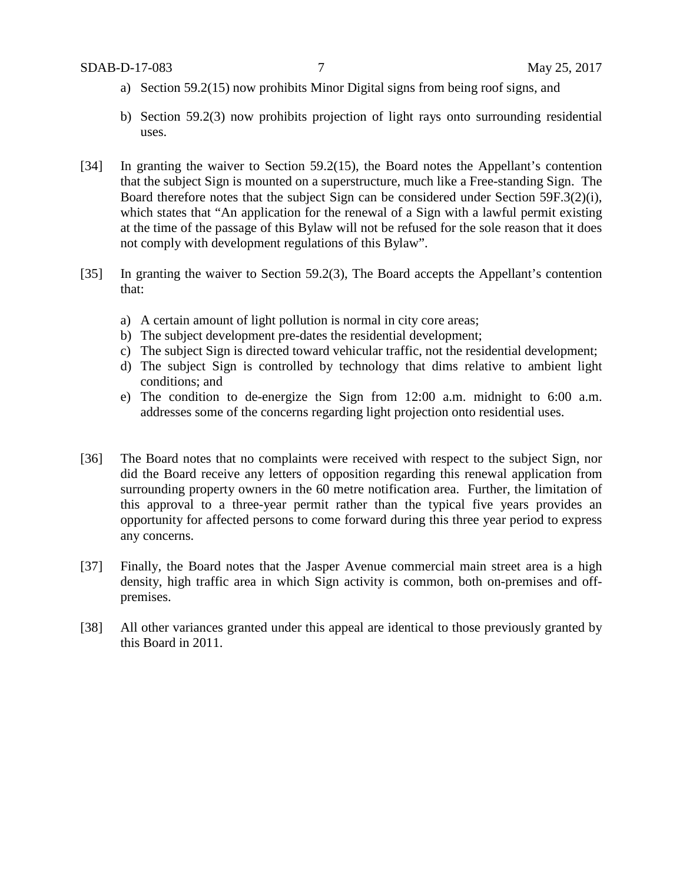- a) Section 59.2(15) now prohibits Minor Digital signs from being roof signs, and
- b) Section 59.2(3) now prohibits projection of light rays onto surrounding residential uses.
- [34] In granting the waiver to Section 59.2(15), the Board notes the Appellant's contention that the subject Sign is mounted on a superstructure, much like a Free-standing Sign. The Board therefore notes that the subject Sign can be considered under Section 59F.3(2)(i), which states that "An application for the renewal of a Sign with a lawful permit existing at the time of the passage of this Bylaw will not be refused for the sole reason that it does not comply with development regulations of this Bylaw".
- [35] In granting the waiver to Section 59.2(3), The Board accepts the Appellant's contention that:
	- a) A certain amount of light pollution is normal in city core areas;
	- b) The subject development pre-dates the residential development;
	- c) The subject Sign is directed toward vehicular traffic, not the residential development;
	- d) The subject Sign is controlled by technology that dims relative to ambient light conditions; and
	- e) The condition to de-energize the Sign from 12:00 a.m. midnight to 6:00 a.m. addresses some of the concerns regarding light projection onto residential uses.
- [36] The Board notes that no complaints were received with respect to the subject Sign, nor did the Board receive any letters of opposition regarding this renewal application from surrounding property owners in the 60 metre notification area. Further, the limitation of this approval to a three-year permit rather than the typical five years provides an opportunity for affected persons to come forward during this three year period to express any concerns.
- [37] Finally, the Board notes that the Jasper Avenue commercial main street area is a high density, high traffic area in which Sign activity is common, both on-premises and offpremises.
- [38] All other variances granted under this appeal are identical to those previously granted by this Board in 2011.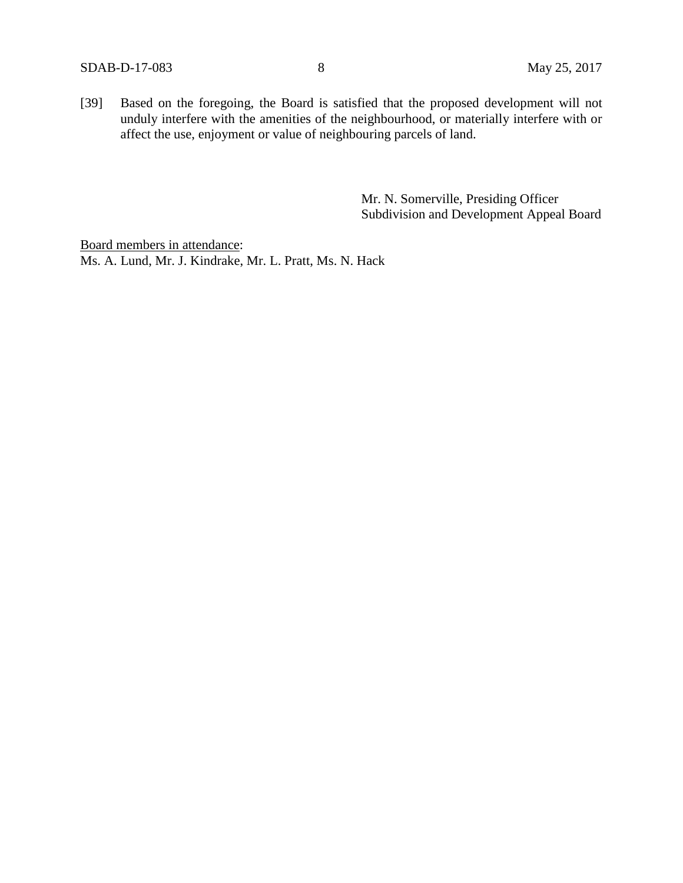[39] Based on the foregoing, the Board is satisfied that the proposed development will not unduly interfere with the amenities of the neighbourhood, or materially interfere with or affect the use, enjoyment or value of neighbouring parcels of land.

> Mr. N. Somerville, Presiding Officer Subdivision and Development Appeal Board

Board members in attendance: Ms. A. Lund, Mr. J. Kindrake, Mr. L. Pratt, Ms. N. Hack